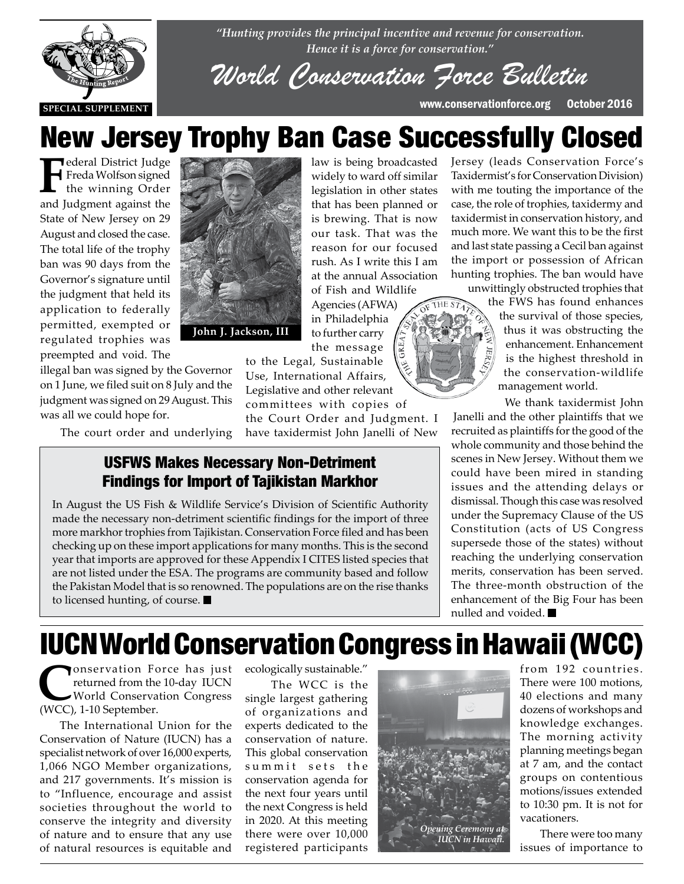

*"Hunting provides the principal incentive and revenue for conservation. Hence it is a force for conservation."*

*World Conservation Force Bulletin*

# New Jersey Trophy Ban Case Successfully Closed

**F**ederal District Judge<br>
Freda Wolfson signed<br>
the winning Order<br>
and Iudement scaled the Freda Wolfson signed the winning Order and Judgment against the State of New Jersey on 29 August and closed the case. The total life of the trophy ban was 90 days from the Governor's signature until the judgment that held its application to federally permitted, exempted or regulated trophies was preempted and void. The

was all we could hope for.

illegal ban was signed by the Governor on 1 June, we filed suit on 8 July and the judgment was signed on 29 August. This

The court order and underlying



law is being broadcasted widely to ward off similar legislation in other states that has been planned or is brewing. That is now our task. That was the reason for our focused rush. As I write this I am at the annual Association of Fish and Wildlife under the state of  $\frac{u}{\sqrt{v}}$ 

Agencies (AFWA) in Philadelphia to further carry the message

to the Legal, Sustainable Use, International Affairs, Legislative and other relevant committees with copies of

the Court Order and Judgment. I have taxidermist John Janelli of New

### USFWS Makes Necessary Non-Detriment Findings for Import of Tajikistan Markhor

In August the US Fish & Wildlife Service's Division of Scientific Authority made the necessary non-detriment scientific findings for the import of three more markhor trophies from Tajikistan. Conservation Force filed and has been checking up on these import applications for many months. This is the second year that imports are approved for these Appendix I CITES listed species that are not listed under the ESA. The programs are community based and follow the Pakistan Model that is so renowned. The populations are on the rise thanks to licensed hunting, of course.

Jersey (leads Conservation Force's Taxidermist's for Conservation Division) with me touting the importance of the case, the role of trophies, taxidermy and taxidermist in conservation history, and much more. We want this to be the first and last state passing a Cecil ban against the import or possession of African hunting trophies. The ban would have unwittingly obstructed trophies that

the FWS has found enhances the survival of those species, thus it was obstructing the enhancement. Enhancement is the highest threshold in the conservation-wildlife management world.

We thank taxidermist John Janelli and the other plaintiffs that we recruited as plaintiffs for the good of the whole community and those behind the scenes in New Jersey. Without them we could have been mired in standing issues and the attending delays or dismissal. Though this case was resolved under the Supremacy Clause of the US Constitution (acts of US Congress supersede those of the states) without reaching the underlying conservation merits, conservation has been served. The three-month obstruction of the enhancement of the Big Four has been nulled and voided.

# IUCN World Conservation Congress in Hawaii (WCC)

**C**onservation Force has just returned from the 10-day IUCN World Conservation Congress (WCC), 1-10 September.

The International Union for the Conservation of Nature (IUCN) has a specialist network of over 16,000 experts, 1,066 NGO Member organizations, and 217 governments. It's mission is to "Influence, encourage and assist societies throughout the world to conserve the integrity and diversity of nature and to ensure that any use of natural resources is equitable and

ecologically sustainable."

 The WCC is the single largest gathering of organizations and experts dedicated to the conservation of nature. This global conservation summit sets the conservation agenda for the next four years until the next Congress is held in 2020. At this meeting there were over 10,000 registered participants



from 192 countries. There were 100 motions, 40 elections and many dozens of workshops and knowledge exchanges. The morning activity planning meetings began at 7 am, and the contact groups on contentious motions/issues extended to 10:30 pm. It is not for vacationers.

There were too many issues of importance to

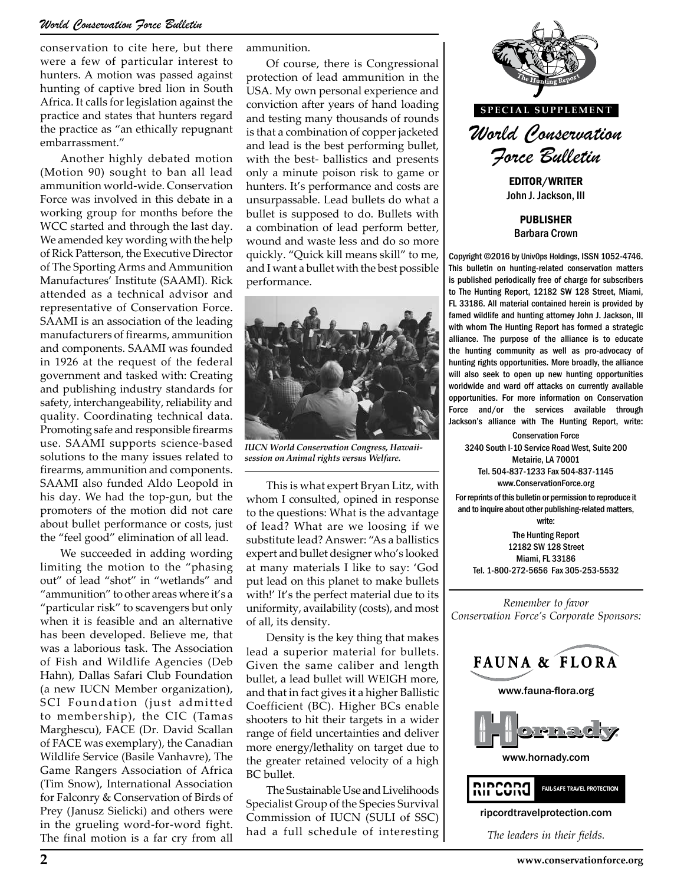### *World Conservation Force Bulletin*

conservation to cite here, but there were a few of particular interest to hunters. A motion was passed against hunting of captive bred lion in South Africa. It calls for legislation against the practice and states that hunters regard the practice as "an ethically repugnant embarrassment."

Another highly debated motion (Motion 90) sought to ban all lead ammunition world-wide. Conservation Force was involved in this debate in a working group for months before the WCC started and through the last day. We amended key wording with the help of Rick Patterson, the Executive Director of The Sporting Arms and Ammunition Manufactures' Institute (SAAMI). Rick attended as a technical advisor and representative of Conservation Force. SAAMI is an association of the leading manufacturers of firearms, ammunition and components. SAAMI was founded in 1926 at the request of the federal government and tasked with: Creating and publishing industry standards for safety, interchangeability, reliability and quality. Coordinating technical data. Promoting safe and responsible firearms use. SAAMI supports science-based solutions to the many issues related to firearms, ammunition and components. SAAMI also funded Aldo Leopold in his day. We had the top-gun, but the promoters of the motion did not care about bullet performance or costs, just the "feel good" elimination of all lead.

We succeeded in adding wording limiting the motion to the "phasing out" of lead "shot" in "wetlands" and "ammunition" to other areas where it's a "particular risk" to scavengers but only when it is feasible and an alternative has been developed. Believe me, that was a laborious task. The Association of Fish and Wildlife Agencies (Deb Hahn), Dallas Safari Club Foundation (a new IUCN Member organization), SCI Foundation (just admitted to membership), the CIC (Tamas Marghescu), FACE (Dr. David Scallan of FACE was exemplary), the Canadian Wildlife Service (Basile Vanhavre), The Game Rangers Association of Africa (Tim Snow), International Association for Falconry & Conservation of Birds of Prey (Janusz Sielicki) and others were in the grueling word-for-word fight. The final motion is a far cry from all

ammunition.

Of course, there is Congressional protection of lead ammunition in the USA. My own personal experience and conviction after years of hand loading and testing many thousands of rounds is that a combination of copper jacketed and lead is the best performing bullet, with the best- ballistics and presents only a minute poison risk to game or hunters. It's performance and costs are unsurpassable. Lead bullets do what a bullet is supposed to do. Bullets with a combination of lead perform better, wound and waste less and do so more quickly. "Quick kill means skill" to me, and I want a bullet with the best possible performance.



*IUCN World Conservation Congress, Hawaiisession on Animal rights versus Welfare.*

This is what expert Bryan Litz, with whom I consulted, opined in response to the questions: What is the advantage of lead? What are we loosing if we substitute lead? Answer: "As a ballistics expert and bullet designer who's looked at many materials I like to say: 'God put lead on this planet to make bullets with!' It's the perfect material due to its uniformity, availability (costs), and most of all, its density.

Density is the key thing that makes lead a superior material for bullets. Given the same caliber and length bullet, a lead bullet will WEIGH more, and that in fact gives it a higher Ballistic Coefficient (BC). Higher BCs enable shooters to hit their targets in a wider range of field uncertainties and deliver more energy/lethality on target due to the greater retained velocity of a high BC bullet.

The Sustainable Use and Livelihoods Specialist Group of the Species Survival Commission of IUCN (SULI of SSC) had a full schedule of interesting



John J. Jackson, III

PUBLISHER Barbara Crown

Copyright ©2016 by UnivOps Holdings, ISSN 1052-4746. This bulletin on hunting-related conservation matters is published periodically free of charge for subscribers to The Hunting Report, 12182 SW 128 Street, Miami, FL 33186. All material contained herein is provided by famed wildlife and hunting attorney John J. Jackson, III with whom The Hunting Report has formed a strategic alliance. The purpose of the alliance is to educate the hunting community as well as pro-advocacy of hunting rights opportunities. More broadly, the alliance will also seek to open up new hunting opportunities worldwide and ward off attacks on currently available opportunities. For more information on Conservation Force and/or the services available through Jackson's alliance with The Hunting Report, write:

Conservation Force 3240 South I-10 Service Road West, Suite 200 Metairie, LA 70001 Tel. 504-837-1233 Fax 504-837-1145 www.ConservationForce.org

For reprints of this bulletin or permission to reproduce it and to inquire about other publishing-related matters, write:

The Hunting Report 12182 SW 128 Street Miami, FL 33186 Tel. 1-800-272-5656 Fax 305-253-5532

*Remember to favor Conservation Force's Corporate Sponsors:*

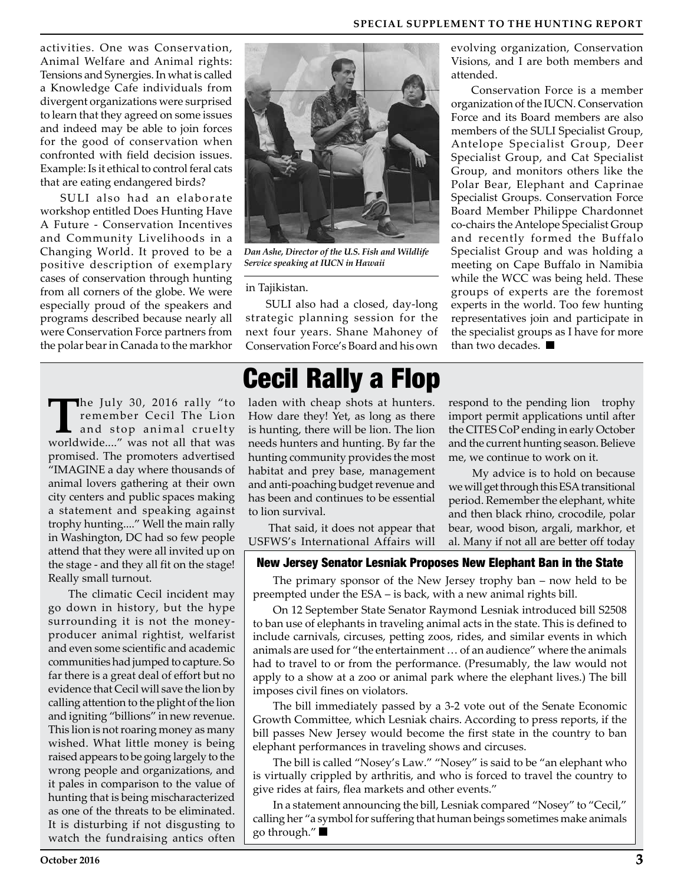activities. One was Conservation, Animal Welfare and Animal rights: Tensions and Synergies. In what is called a Knowledge Cafe individuals from divergent organizations were surprised to learn that they agreed on some issues and indeed may be able to join forces for the good of conservation when confronted with field decision issues. Example: Is it ethical to control feral cats that are eating endangered birds?

SULI also had an elaborate workshop entitled Does Hunting Have A Future - Conservation Incentives and Community Livelihoods in a Changing World. It proved to be a positive description of exemplary cases of conservation through hunting from all corners of the globe. We were especially proud of the speakers and programs described because nearly all were Conservation Force partners from the polar bear in Canada to the markhor

The July 30, 2016 rally "to<br>remember Cecil The Lion<br>and stop animal cruelty<br>worldwide. " was not all that was remember Cecil The Lion and stop animal cruelty worldwide...." was not all that was promised. The promoters advertised "IMAGINE a day where thousands of animal lovers gathering at their own city centers and public spaces making a statement and speaking against trophy hunting...." Well the main rally in Washington, DC had so few people attend that they were all invited up on the stage - and they all fit on the stage! Really small turnout.

The climatic Cecil incident may go down in history, but the hype surrounding it is not the moneyproducer animal rightist, welfarist and even some scientific and academic communities had jumped to capture. So far there is a great deal of effort but no evidence that Cecil will save the lion by calling attention to the plight of the lion and igniting "billions" in new revenue. This lion is not roaring money as many wished. What little money is being raised appears to be going largely to the wrong people and organizations, and it pales in comparison to the value of hunting that is being mischaracterized as one of the threats to be eliminated. It is disturbing if not disgusting to watch the fundraising antics often



*Dan Ashe, Director of the U.S. Fish and Wildlife Service speaking at IUCN in Hawaii*

#### in Tajikistan.

SULI also had a closed, day-long strategic planning session for the next four years. Shane Mahoney of Conservation Force's Board and his own

## Cecil Rally a Flop

laden with cheap shots at hunters. How dare they! Yet, as long as there is hunting, there will be lion. The lion needs hunters and hunting. By far the hunting community provides the most habitat and prey base, management and anti-poaching budget revenue and has been and continues to be essential to lion survival.

That said, it does not appear that USFWS's International Affairs will

### New Jersey Senator Lesniak Proposes New Elephant Ban in the State

The primary sponsor of the New Jersey trophy ban – now held to be preempted under the ESA – is back, with a new animal rights bill.

On 12 September State Senator Raymond Lesniak introduced bill S2508 to ban use of elephants in traveling animal acts in the state. This is defined to include carnivals, circuses, petting zoos, rides, and similar events in which animals are used for "the entertainment … of an audience" where the animals had to travel to or from the performance. (Presumably, the law would not apply to a show at a zoo or animal park where the elephant lives.) The bill imposes civil fines on violators.

The bill immediately passed by a 3-2 vote out of the Senate Economic Growth Committee, which Lesniak chairs. According to press reports, if the bill passes New Jersey would become the first state in the country to ban elephant performances in traveling shows and circuses.

The bill is called "Nosey's Law." "Nosey" is said to be "an elephant who is virtually crippled by arthritis, and who is forced to travel the country to give rides at fairs, flea markets and other events."

In a statement announcing the bill, Lesniak compared "Nosey" to "Cecil," calling her "a symbol for suffering that human beings sometimes make animals go through."

evolving organization, Conservation Visions, and I are both members and attended.

Conservation Force is a member organization of the IUCN. Conservation Force and its Board members are also members of the SULI Specialist Group, Antelope Specialist Group, Deer Specialist Group, and Cat Specialist Group, and monitors others like the Polar Bear, Elephant and Caprinae Specialist Groups. Conservation Force Board Member Philippe Chardonnet co-chairs the Antelope Specialist Group and recently formed the Buffalo Specialist Group and was holding a meeting on Cape Buffalo in Namibia while the WCC was being held. These groups of experts are the foremost experts in the world. Too few hunting representatives join and participate in the specialist groups as I have for more than two decades.

respond to the pending lion trophy import permit applications until after the CITES CoP ending in early October and the current hunting season. Believe

 My advice is to hold on because we will get through this ESA transitional period. Remember the elephant, white and then black rhino, crocodile, polar bear, wood bison, argali, markhor, et al. Many if not all are better off today

me, we continue to work on it.